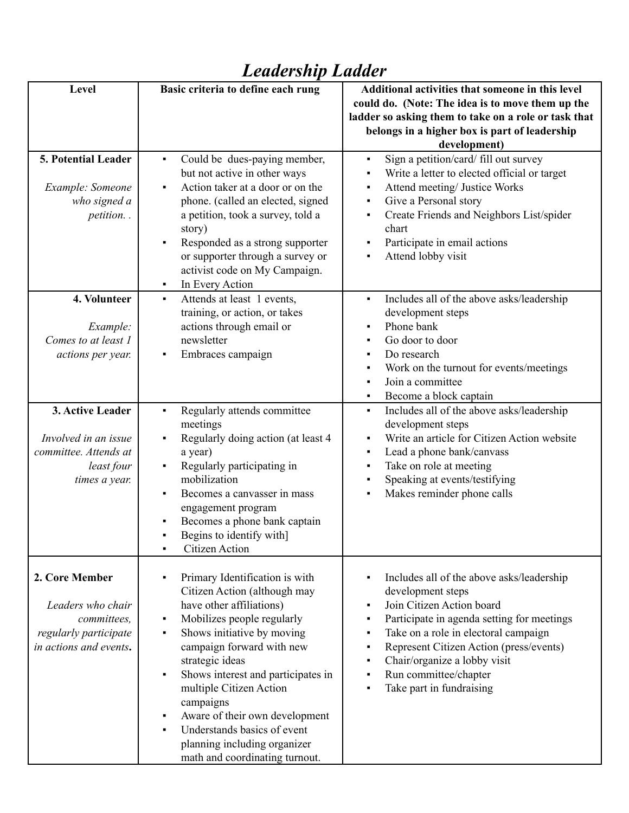| Level                                                                                                 | Basic criteria to define each rung                                                                                                                                                                                                                                                                                                                                                                                                | Additional activities that someone in this level<br>could do. (Note: The idea is to move them up the<br>ladder so asking them to take on a role or task that<br>belongs in a higher box is part of leadership<br>development)                                                                                                                             |
|-------------------------------------------------------------------------------------------------------|-----------------------------------------------------------------------------------------------------------------------------------------------------------------------------------------------------------------------------------------------------------------------------------------------------------------------------------------------------------------------------------------------------------------------------------|-----------------------------------------------------------------------------------------------------------------------------------------------------------------------------------------------------------------------------------------------------------------------------------------------------------------------------------------------------------|
| 5. Potential Leader<br>Example: Someone<br>who signed a<br>petition                                   | Could be dues-paying member,<br>but not active in other ways<br>Action taker at a door or on the<br>phone. (called an elected, signed<br>a petition, took a survey, told a<br>story)<br>Responded as a strong supporter<br>or supporter through a survey or<br>activist code on My Campaign.<br>In Every Action<br>٠                                                                                                              | Sign a petition/card/ fill out survey<br>٠<br>Write a letter to elected official or target<br>Attend meeting/ Justice Works<br>٠<br>Give a Personal story<br>٠<br>Create Friends and Neighbors List/spider<br>٠<br>chart<br>Participate in email actions<br>٠<br>Attend lobby visit<br>٠                                                                  |
| 4. Volunteer<br>Example:<br>Comes to at least 1<br>actions per year.                                  | Attends at least 1 events,<br>$\blacksquare$<br>training, or action, or takes<br>actions through email or<br>newsletter<br>Embraces campaign                                                                                                                                                                                                                                                                                      | Includes all of the above asks/leadership<br>$\blacksquare$<br>development steps<br>Phone bank<br>٠<br>Go door to door<br>٠<br>Do research<br>٠<br>Work on the turnout for events/meetings<br>٠<br>Join a committee<br>٠<br>Become a block captain<br>٠                                                                                                   |
| 3. Active Leader<br>Involved in an issue<br>committee. Attends at<br>least four<br>times a year.      | Regularly attends committee<br>٠<br>meetings<br>Regularly doing action (at least 4<br>a year)<br>Regularly participating in<br>mobilization<br>Becomes a canvasser in mass<br>engagement program<br>Becomes a phone bank captain<br>Begins to identify with]<br>Citizen Action<br>٠                                                                                                                                               | Includes all of the above asks/leadership<br>٠<br>development steps<br>Write an article for Citizen Action website<br>٠<br>Lead a phone bank/canvass<br>٠<br>Take on role at meeting<br>٠<br>Speaking at events/testifying<br>٠<br>Makes reminder phone calls<br>٠                                                                                        |
| 2. Core Member<br>Leaders who chair<br>committees,<br>regularly participate<br>in actions and events. | Primary Identification is with<br>Citizen Action (although may<br>have other affiliations)<br>Mobilizes people regularly<br>٠<br>Shows initiative by moving<br>campaign forward with new<br>strategic ideas<br>Shows interest and participates in<br>٠<br>multiple Citizen Action<br>campaigns<br>Aware of their own development<br>Understands basics of event<br>planning including organizer<br>math and coordinating turnout. | Includes all of the above asks/leadership<br>٠<br>development steps<br>Join Citizen Action board<br>٠<br>Participate in agenda setting for meetings<br>٠<br>Take on a role in electoral campaign<br>٠<br>Represent Citizen Action (press/events)<br>٠<br>Chair/organize a lobby visit<br>٠<br>Run committee/chapter<br>٠<br>Take part in fundraising<br>٠ |

## *Leadership Ladder*